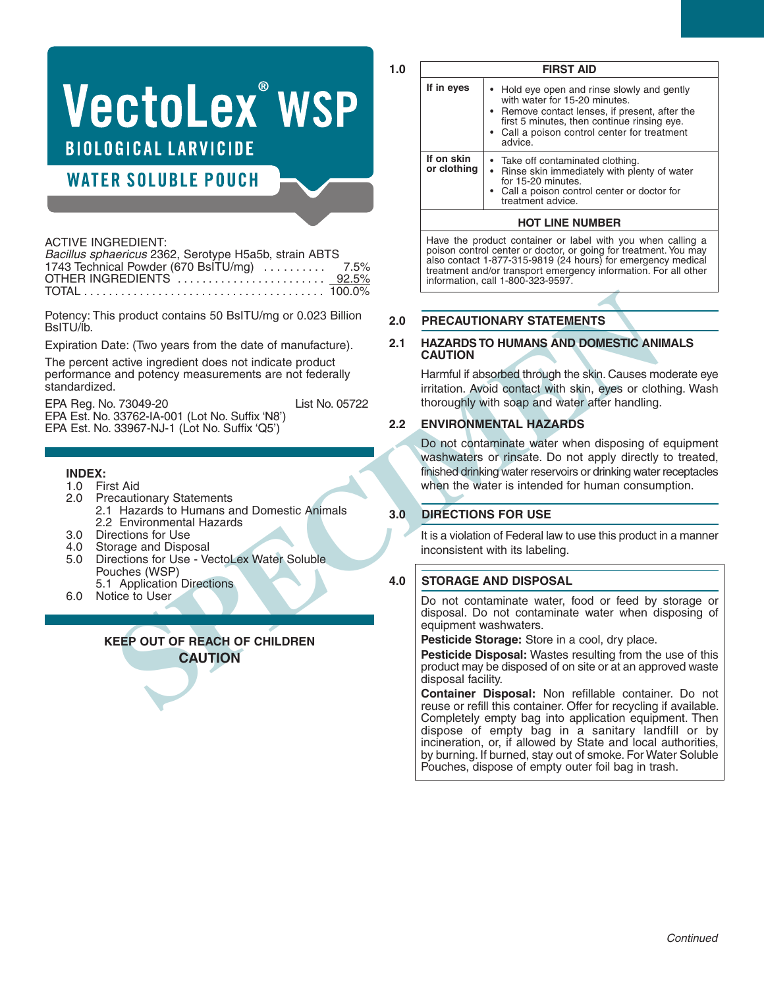# **VectoLex WSP BIOLOGICAL LARVICIDE**

**WATER SOLUBLE POUCH** 

#### ACTIVE INGREDIENT:

| Bacillus sphaericus 2362, Serotype H5a5b, strain ABTS |  |
|-------------------------------------------------------|--|
| 1743 Technical Powder (670 BsiTU/mg)  7.5%            |  |
|                                                       |  |
|                                                       |  |

Potency: This product contains 50 BsITU/mg or 0.023 Billion BsITU/lb.

Expiration Date: (Two years from the date of manufacture).

The percent active ingredient does not indicate product performance and potency measurements are not federally standardized.

EPA Reg. No. 73049-20 List No. 05722

EPA Est. No. 33762-IA-001 (Lot No. Suffix 'N8') EPA Est. No. 33967-NJ-1 (Lot No. Suffix 'Q5')

# **INDEX:**

1.0 First Aid

- **Precautionary Statements** 2.1 Hazards to Humans and Domestic Animals 2.2 Environmental Hazards
- 3.0 Directions for Use<br>4.0 Storage and Dispo
- 4.0 Storage and Disposal<br>5.0 Directions for Use Ve
- Directions for Use VectoLex Water Soluble Pouches (WSP)
- 5.1 Application Directions 6.0 Notice to User

# **KEEP OUT OF REACH OF CHILDREN CAUTION**

|                           | <b>FIRST AID</b>                                                                                                                                                                                                                         |
|---------------------------|------------------------------------------------------------------------------------------------------------------------------------------------------------------------------------------------------------------------------------------|
| If in eyes                | • Hold eye open and rinse slowly and gently<br>with water for 15-20 minutes.<br>• Remove contact lenses, if present, after the<br>first 5 minutes, then continue rinsing eye.<br>• Call a poison control center for treatment<br>advice. |
| If on skin<br>or clothing | • Take off contaminated clothing.<br>• Rinse skin immediately with plenty of water<br>for 15-20 minutes.<br>• Call a poison control center or doctor for<br>treatment advice.                                                            |
|                           | <b>HOT LINE NUMBER</b>                                                                                                                                                                                                                   |

Have the product container or label with you when calling a poison control center or doctor, or going for treatment.You may also contact 1-877-315-9819 (24 hours) for emergency medical treatment and/or transport emergency information. For all other information, call 1-800-323-9597.

# **2.0 PRECAUTIONARY STATEMENTS**

#### **2.1 HAZARDSTO HUMANS AND DOMESTIC ANIMALS CAUTION**

Harmful if absorbed through the skin. Causes moderate eye irritation. Avoid contact with skin, eyes or clothing. Wash thoroughly with soap and water after handling.

# **2.2 ENVIRONMENTAL HAZARDS**

Figure (Two years from the date of manufatteries).<br>
The Caurio and polency measurements are not ideal product<br>
active ingredient does not indicate product<br>
active ingredient does not indicate product<br>
List No. 05722<br>
The C Do not contaminate water when disposing of equipment washwaters or rinsate. Do not apply directly to treated, finished drinking water reservoirs or drinking water receptacles when the water is intended for human consumption.

# **3.0 DIRECTIONS FOR USE**

It is a violation of Federal law to use this product in a manner inconsistent with its labeling.

# **4.0 STORAGE AND DISPOSAL**

Do not contaminate water, food or feed by storage or disposal. Do not contaminate water when disposing of equipment washwaters.

**Pesticide Storage:** Store in a cool, dry place.

**Pesticide Disposal:** Wastes resulting from the use of this product may be disposed of on site or at an approved waste disposal facility.

**Container Disposal:** Non refillable container. Do not reuse or refill this container. Offer for recycling if available. Completely empty bag into application equipment. Then dispose of empty bag in a sanitary landfill or by incineration, or, if allowed by State and local authorities, by burning. If burned, stay out of smoke. For Water Soluble Pouches, dispose of empty outer foil bag in trash.